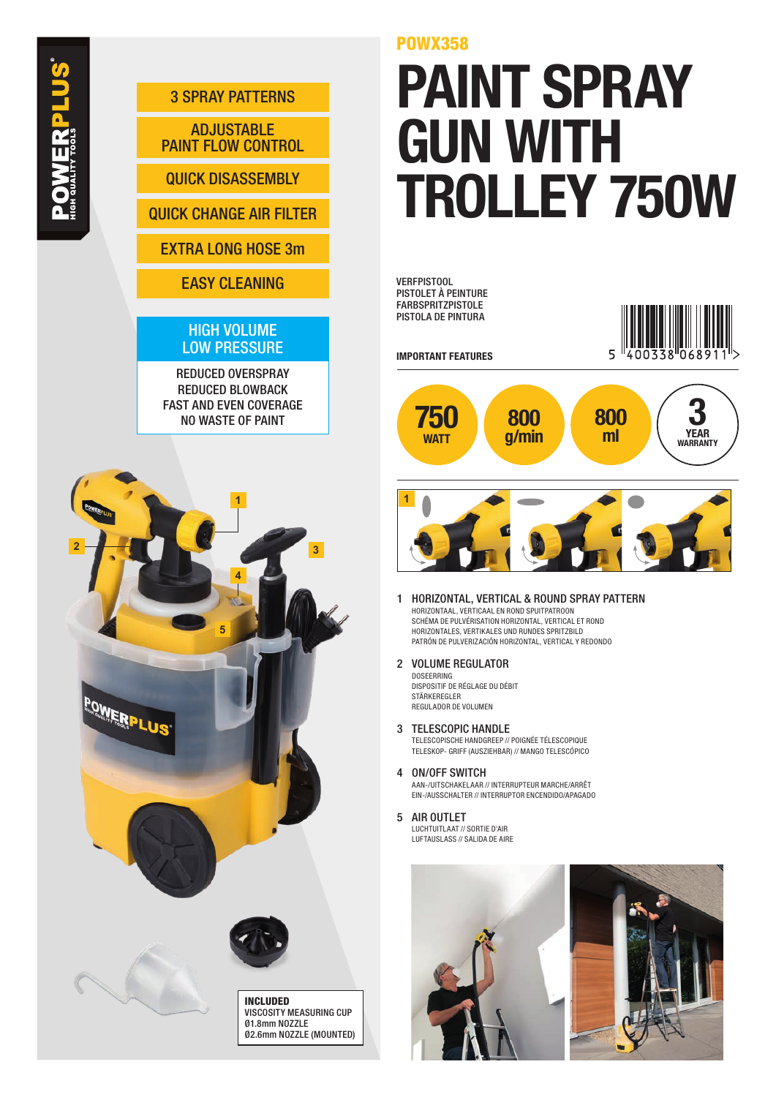

QUICK DISASSEMBLY

QUICK CHANGE AIR FILTER

## EXTRA LONG HOSE 3m

EASY CLEANING

## HIGH VOLUME LOW PRESSURE

REDUCED OVERSPRAY REDUCED BLOWBACK FAST AND EVEN COVERAGE NO WASTE OF PAINT



INCLUDED VISCOSITY MEASURING CUP Ø1.8mm NOZZLE Ø2.6mm NOZZLE (MOUNTED) POWX358

## PAINT SPRAY GUN WITH TROLLEY 750W

VERFPISTOOL PISTOLET À PEINTURE FARBSPRITZPISTOLE PISTOLA DE PINTURA



IMPORTANT FEATURES





- 1 HORIZONTAL, VERTICAL & ROUND SPRAY PATTERN HORIZONTAAL, VERTICAAL EN ROND SPUITPATROON SCHÉMA DE PULVÉRISATION HORIZONTAL, VERTICAL ET ROND HORIZONTALES, VERTIKALES UND RUNDES SPRITZBILD PATRÓN DE PULVERIZACIÓN HORIZONTAL, VERTICAL Y REDONDO
- 2 VOLUME REGULATOR DOSEERRING

DISPOSITIF DE RÉGLAGE DU DÉBIT STÄRKEREGI ER REGULADOR DE VOLUMEN

- 3 TELESCOPIC HANDLE TELESCOPISCHE HANDGREEP // POIGNÉE TÉLESCOPIQUE TELESKOP- GRIFF (AUSZIEHBAR) // MANGO TELESCÓPICO
- 4 ON/OFF SWITCH AAN-/UITSCHAKELAAR // INTERRUPTEUR MARCHE/ARRÊT EIN-/AUSSCHALTER // INTERRUPTOR ENCENDIDO/APAGADO
- 5 AIR OUTLET LUCHTUITLAAT // SORTIE D'AIR LUFTAUSLASS // SALIDA DE AIRE